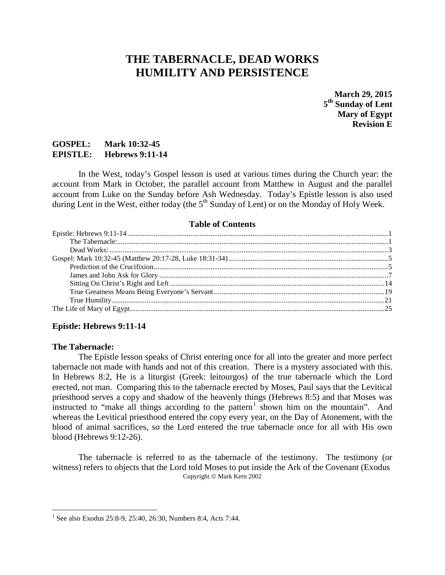# **THE TABERNACLE, DEAD WORKS HUMILITY AND PERSISTENCE**

**March 29, 2015 5th Sunday of Lent Mary of Egypt Revision E**

# **GOSPEL: Mark 10:32-45 EPISTLE: Hebrews 9:11-14**

In the West, today's Gospel lesson is used at various times during the Church year: the account from Mark in October, the parallel account from Matthew in August and the parallel account from Luke on the Sunday before Ash Wednesday. Today's Epistle lesson is also used during Lent in the West, either today (the  $5<sup>th</sup>$  Sunday of Lent) or on the Monday of Holy Week.

#### **Table of Contents**

## <span id="page-0-1"></span><span id="page-0-0"></span>**Epistle: Hebrews 9:11-14**

#### **The Tabernacle:**

The Epistle lesson speaks of Christ entering once for all into the greater and more perfect tabernacle not made with hands and not of this creation. There is a mystery associated with this. In Hebrews 8:2, He is a liturgist (Greek: leitourgos) of the true tabernacle which the Lord erected, not man. Comparing this to the tabernacle erected by Moses, Paul says that the Levitical priesthood serves a copy and shadow of the heavenly things (Hebrews 8:5) and that Moses was instructed to "make all things according to the pattern<sup>[1](#page-0-2)</sup> shown him on the mountain". And whereas the Levitical priesthood entered the copy every year, on the Day of Atonement, with the blood of animal sacrifices, so the Lord entered the true tabernacle once for all with His own blood (Hebrews 9:12-26).

The tabernacle is referred to as the tabernacle of the testimony. The testimony (or witness) refers to objects that the Lord told Moses to put inside the Ark of the Covenant (Exodus Copyright © Mark Kern 2002

<span id="page-0-2"></span><sup>&</sup>lt;sup>1</sup> See also Exodus 25:8-9, 25:40, 26:30, Numbers 8:4, Acts 7:44.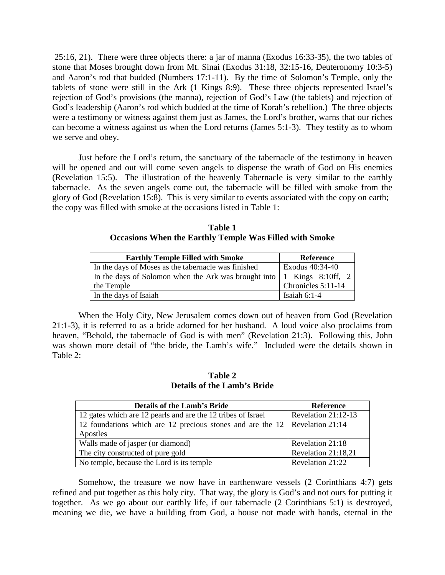25:16, 21). There were three objects there: a jar of manna (Exodus 16:33-35), the two tables of stone that Moses brought down from Mt. Sinai (Exodus 31:18, 32:15-16, Deuteronomy 10:3-5) and Aaron's rod that budded (Numbers 17:1-11). By the time of Solomon's Temple, only the tablets of stone were still in the Ark (1 Kings 8:9). These three objects represented Israel's rejection of God's provisions (the manna), rejection of God's Law (the tablets) and rejection of God's leadership (Aaron's rod which budded at the time of Korah's rebellion.) The three objects were a testimony or witness against them just as James, the Lord's brother, warns that our riches can become a witness against us when the Lord returns (James 5:1-3). They testify as to whom we serve and obey.

Just before the Lord's return, the sanctuary of the tabernacle of the testimony in heaven will be opened and out will come seven angels to dispense the wrath of God on His enemies (Revelation 15:5). The illustration of the heavenly Tabernacle is very similar to the earthly tabernacle. As the seven angels come out, the tabernacle will be filled with smoke from the glory of God (Revelation 15:8). This is very similar to events associated with the copy on earth; the copy was filled with smoke at the occasions listed in Table 1:

| Table 1                                                        |
|----------------------------------------------------------------|
| <b>Occasions When the Earthly Temple Was Filled with Smoke</b> |

| <b>Earthly Temple Filled with Smoke</b>                                                                          | Reference          |  |
|------------------------------------------------------------------------------------------------------------------|--------------------|--|
| In the days of Moses as the tabernacle was finished                                                              | Exodus 40:34-40    |  |
| In the days of Solomon when the Ark was brought into $\begin{bmatrix} 1 \\ 1 \\ 1 \end{bmatrix}$ Kings 8:10ff, 2 |                    |  |
| the Temple                                                                                                       | Chronicles 5:11-14 |  |
| In the days of Isaiah                                                                                            | Isaiah $6:1-4$     |  |

When the Holy City, New Jerusalem comes down out of heaven from God (Revelation 21:1-3), it is referred to as a bride adorned for her husband. A loud voice also proclaims from heaven, "Behold, the tabernacle of God is with men" (Revelation 21:3). Following this, John was shown more detail of "the bride, the Lamb's wife." Included were the details shown in Table 2:

**Table 2 Details of the Lamb's Bride**

| <b>Details of the Lamb's Bride</b>                                                 | <b>Reference</b>    |  |
|------------------------------------------------------------------------------------|---------------------|--|
| 12 gates which are 12 pearls and are the 12 tribes of Israel                       | Revelation 21:12-13 |  |
| 12 foundations which are 12 precious stones and are the $12 \mid$ Revelation 21:14 |                     |  |
| Apostles                                                                           |                     |  |
| Walls made of jasper (or diamond)<br>Revelation 21:18                              |                     |  |
| The city constructed of pure gold                                                  | Revelation 21:18,21 |  |
| No temple, because the Lord is its temple                                          | Revelation 21:22    |  |

Somehow, the treasure we now have in earthenware vessels (2 Corinthians 4:7) gets refined and put together as this holy city. That way, the glory is God's and not ours for putting it together. As we go about our earthly life, if our tabernacle (2 Corinthians 5:1) is destroyed, meaning we die, we have a building from God, a house not made with hands, eternal in the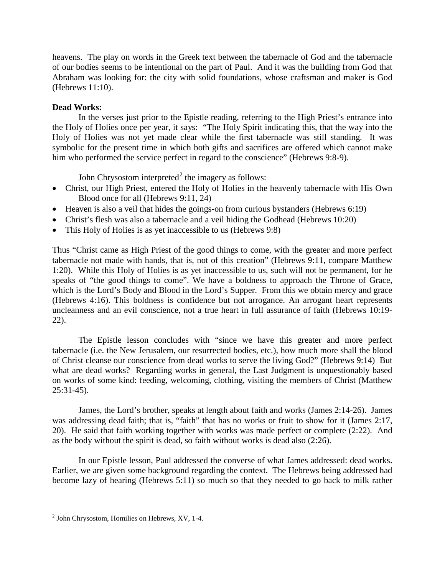heavens. The play on words in the Greek text between the tabernacle of God and the tabernacle of our bodies seems to be intentional on the part of Paul. And it was the building from God that Abraham was looking for: the city with solid foundations, whose craftsman and maker is God (Hebrews 11:10).

# <span id="page-2-0"></span>**Dead Works:**

In the verses just prior to the Epistle reading, referring to the High Priest's entrance into the Holy of Holies once per year, it says: "The Holy Spirit indicating this, that the way into the Holy of Holies was not yet made clear while the first tabernacle was still standing. It was symbolic for the present time in which both gifts and sacrifices are offered which cannot make him who performed the service perfect in regard to the conscience" (Hebrews 9:8-9).

John Chrysostom interpreted<sup>[2](#page-2-1)</sup> the imagery as follows:

- Christ, our High Priest, entered the Holy of Holies in the heavenly tabernacle with His Own Blood once for all (Hebrews 9:11, 24)
- Heaven is also a veil that hides the goings-on from curious bystanders (Hebrews 6:19)
- Christ's flesh was also a tabernacle and a veil hiding the Godhead (Hebrews 10:20)
- This Holy of Holies is as yet inaccessible to us (Hebrews 9:8)

Thus "Christ came as High Priest of the good things to come, with the greater and more perfect tabernacle not made with hands, that is, not of this creation" (Hebrews 9:11, compare Matthew 1:20). While this Holy of Holies is as yet inaccessible to us, such will not be permanent, for he speaks of "the good things to come". We have a boldness to approach the Throne of Grace, which is the Lord's Body and Blood in the Lord's Supper. From this we obtain mercy and grace (Hebrews 4:16). This boldness is confidence but not arrogance. An arrogant heart represents uncleanness and an evil conscience, not a true heart in full assurance of faith (Hebrews 10:19- 22).

The Epistle lesson concludes with "since we have this greater and more perfect tabernacle (i.e. the New Jerusalem, our resurrected bodies, etc.), how much more shall the blood of Christ cleanse our conscience from dead works to serve the living God?" (Hebrews 9:14) But what are dead works? Regarding works in general, the Last Judgment is unquestionably based on works of some kind: feeding, welcoming, clothing, visiting the members of Christ (Matthew 25:31-45).

James, the Lord's brother, speaks at length about faith and works (James 2:14-26). James was addressing dead faith; that is, "faith" that has no works or fruit to show for it (James 2:17, 20). He said that faith working together with works was made perfect or complete (2:22). And as the body without the spirit is dead, so faith without works is dead also (2:26).

In our Epistle lesson, Paul addressed the converse of what James addressed: dead works. Earlier, we are given some background regarding the context. The Hebrews being addressed had become lazy of hearing (Hebrews 5:11) so much so that they needed to go back to milk rather

<span id="page-2-1"></span><sup>&</sup>lt;sup>2</sup> John Chrysostom, Homilies on Hebrews, XV, 1-4.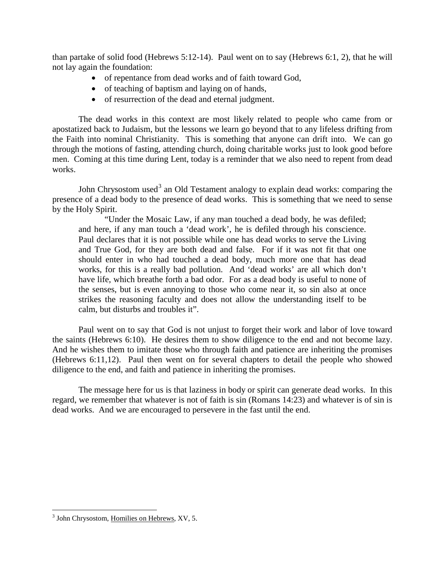than partake of solid food (Hebrews 5:12-14). Paul went on to say (Hebrews 6:1, 2), that he will not lay again the foundation:

- of repentance from dead works and of faith toward God,
- of teaching of baptism and laying on of hands,
- of resurrection of the dead and eternal judgment.

The dead works in this context are most likely related to people who came from or apostatized back to Judaism, but the lessons we learn go beyond that to any lifeless drifting from the Faith into nominal Christianity. This is something that anyone can drift into. We can go through the motions of fasting, attending church, doing charitable works just to look good before men. Coming at this time during Lent, today is a reminder that we also need to repent from dead works.

John Chrysostom used<sup>[3](#page-3-0)</sup> an Old Testament analogy to explain dead works: comparing the presence of a dead body to the presence of dead works. This is something that we need to sense by the Holy Spirit.

"Under the Mosaic Law, if any man touched a dead body, he was defiled; and here, if any man touch a 'dead work', he is defiled through his conscience. Paul declares that it is not possible while one has dead works to serve the Living and True God, for they are both dead and false. For if it was not fit that one should enter in who had touched a dead body, much more one that has dead works, for this is a really bad pollution. And 'dead works' are all which don't have life, which breathe forth a bad odor. For as a dead body is useful to none of the senses, but is even annoying to those who come near it, so sin also at once strikes the reasoning faculty and does not allow the understanding itself to be calm, but disturbs and troubles it".

Paul went on to say that God is not unjust to forget their work and labor of love toward the saints (Hebrews 6:10). He desires them to show diligence to the end and not become lazy. And he wishes them to imitate those who through faith and patience are inheriting the promises (Hebrews 6:11,12). Paul then went on for several chapters to detail the people who showed diligence to the end, and faith and patience in inheriting the promises.

The message here for us is that laziness in body or spirit can generate dead works. In this regard, we remember that whatever is not of faith is sin (Romans 14:23) and whatever is of sin is dead works. And we are encouraged to persevere in the fast until the end.

<span id="page-3-0"></span><sup>&</sup>lt;sup>3</sup> John Chrysostom, Homilies on Hebrews, XV, 5.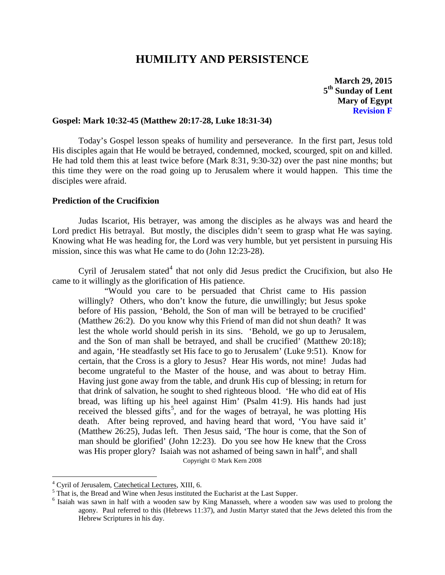# **HUMILITY AND PERSISTENCE**

**March 29, 2015 5th Sunday of Lent Mary of Egypt Revision F**

## <span id="page-4-0"></span>**Gospel: Mark 10:32-45 (Matthew 20:17-28, Luke 18:31-34)**

Today's Gospel lesson speaks of humility and perseverance. In the first part, Jesus told His disciples again that He would be betrayed, condemned, mocked, scourged, spit on and killed. He had told them this at least twice before (Mark 8:31, 9:30-32) over the past nine months; but this time they were on the road going up to Jerusalem where it would happen. This time the disciples were afraid.

# <span id="page-4-1"></span>**Prediction of the Crucifixion**

Judas Iscariot, His betrayer, was among the disciples as he always was and heard the Lord predict His betrayal. But mostly, the disciples didn't seem to grasp what He was saying. Knowing what He was heading for, the Lord was very humble, but yet persistent in pursuing His mission, since this was what He came to do (John 12:23-28).

Cyril of Jerusalem stated<sup>[4](#page-4-2)</sup> that not only did Jesus predict the Crucifixion, but also He came to it willingly as the glorification of His patience.

"Would you care to be persuaded that Christ came to His passion willingly? Others, who don't know the future, die unwillingly; but Jesus spoke before of His passion, 'Behold, the Son of man will be betrayed to be crucified' (Matthew 26:2). Do you know why this Friend of man did not shun death? It was lest the whole world should perish in its sins. 'Behold, we go up to Jerusalem, and the Son of man shall be betrayed, and shall be crucified' (Matthew 20:18); and again, 'He steadfastly set His face to go to Jerusalem' (Luke 9:51). Know for certain, that the Cross is a glory to Jesus? Hear His words, not mine! Judas had become ungrateful to the Master of the house, and was about to betray Him. Having just gone away from the table, and drunk His cup of blessing; in return for that drink of salvation, he sought to shed righteous blood. 'He who did eat of His bread, was lifting up his heel against Him' (Psalm 41:9). His hands had just received the blessed gifts<sup>[5](#page-4-3)</sup>, and for the wages of betrayal, he was plotting His death. After being reproved, and having heard that word, 'You have said it' (Matthew 26:25), Judas left. Then Jesus said, 'The hour is come, that the Son of man should be glorified' (John 12:23). Do you see how He knew that the Cross was His proper glory? Isaiah was not ashamed of being sawn in half<sup>[6](#page-4-4)</sup>, and shall Copyright © Mark Kern 2008

<span id="page-4-2"></span> $^4$  Cyril of Jerusalem, Catechetical Lectures, XIII, 6.  $^5$  That is, the Bread and Wine when Jesus instituted the Eucharist at the Last Supper.

<span id="page-4-4"></span><span id="page-4-3"></span><sup>6</sup> Isaiah was sawn in half with a wooden saw by King Manasseh, where a wooden saw was used to prolong the agony. Paul referred to this (Hebrews 11:37), and Justin Martyr stated that the Jews deleted this from the Hebrew Scriptures in his day.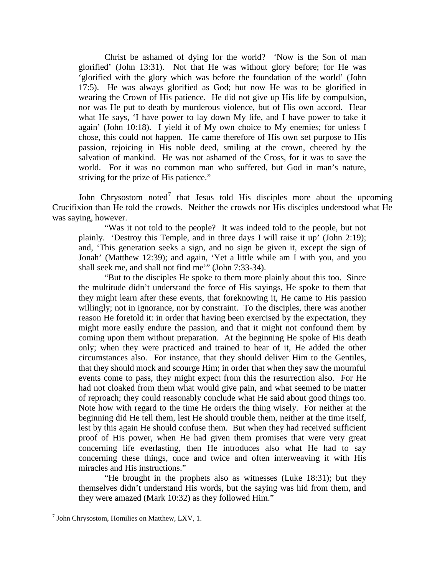Christ be ashamed of dying for the world? 'Now is the Son of man glorified' (John 13:31). Not that He was without glory before; for He was 'glorified with the glory which was before the foundation of the world' (John 17:5). He was always glorified as God; but now He was to be glorified in wearing the Crown of His patience. He did not give up His life by compulsion, nor was He put to death by murderous violence, but of His own accord. Hear what He says, 'I have power to lay down My life, and I have power to take it again' (John 10:18). I yield it of My own choice to My enemies; for unless I chose, this could not happen. He came therefore of His own set purpose to His passion, rejoicing in His noble deed, smiling at the crown, cheered by the salvation of mankind. He was not ashamed of the Cross, for it was to save the world. For it was no common man who suffered, but God in man's nature, striving for the prize of His patience."

John Chrysostom noted<sup>[7](#page-5-0)</sup> that Jesus told His disciples more about the upcoming Crucifixion than He told the crowds. Neither the crowds nor His disciples understood what He was saying, however.

"Was it not told to the people? It was indeed told to the people, but not plainly. 'Destroy this Temple, and in three days I will raise it up' (John 2:19); and, 'This generation seeks a sign, and no sign be given it, except the sign of Jonah' (Matthew 12:39); and again, 'Yet a little while am I with you, and you shall seek me, and shall not find me'" (John 7:33-34).

"But to the disciples He spoke to them more plainly about this too. Since the multitude didn't understand the force of His sayings, He spoke to them that they might learn after these events, that foreknowing it, He came to His passion willingly; not in ignorance, nor by constraint. To the disciples, there was another reason He foretold it: in order that having been exercised by the expectation, they might more easily endure the passion, and that it might not confound them by coming upon them without preparation. At the beginning He spoke of His death only; when they were practiced and trained to hear of it, He added the other circumstances also. For instance, that they should deliver Him to the Gentiles, that they should mock and scourge Him; in order that when they saw the mournful events come to pass, they might expect from this the resurrection also. For He had not cloaked from them what would give pain, and what seemed to be matter of reproach; they could reasonably conclude what He said about good things too. Note how with regard to the time He orders the thing wisely. For neither at the beginning did He tell them, lest He should trouble them, neither at the time itself, lest by this again He should confuse them. But when they had received sufficient proof of His power, when He had given them promises that were very great concerning life everlasting, then He introduces also what He had to say concerning these things, once and twice and often interweaving it with His miracles and His instructions."

"He brought in the prophets also as witnesses (Luke 18:31); but they themselves didn't understand His words, but the saying was hid from them, and they were amazed (Mark 10:32) as they followed Him."

<span id="page-5-0"></span> $<sup>7</sup>$  John Chrysostom, Homilies on Matthew, LXV, 1.</sup>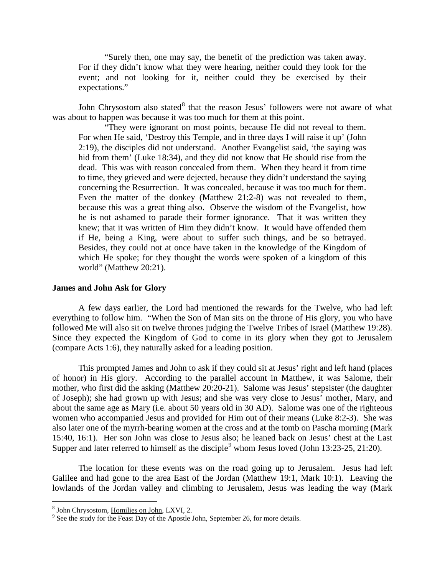"Surely then, one may say, the benefit of the prediction was taken away. For if they didn't know what they were hearing, neither could they look for the event; and not looking for it, neither could they be exercised by their expectations."

John Chrysostom also stated $8$  that the reason Jesus' followers were not aware of what was about to happen was because it was too much for them at this point.

"They were ignorant on most points, because He did not reveal to them. For when He said, 'Destroy this Temple, and in three days I will raise it up' (John 2:19), the disciples did not understand. Another Evangelist said, 'the saying was hid from them' (Luke 18:34), and they did not know that He should rise from the dead. This was with reason concealed from them. When they heard it from time to time, they grieved and were dejected, because they didn't understand the saying concerning the Resurrection. It was concealed, because it was too much for them. Even the matter of the donkey (Matthew 21:2-8) was not revealed to them, because this was a great thing also. Observe the wisdom of the Evangelist, how he is not ashamed to parade their former ignorance. That it was written they knew; that it was written of Him they didn't know. It would have offended them if He, being a King, were about to suffer such things, and be so betrayed. Besides, they could not at once have taken in the knowledge of the Kingdom of which He spoke; for they thought the words were spoken of a kingdom of this world" (Matthew 20:21).

### <span id="page-6-0"></span>**James and John Ask for Glory**

A few days earlier, the Lord had mentioned the rewards for the Twelve, who had left everything to follow him. "When the Son of Man sits on the throne of His glory, you who have followed Me will also sit on twelve thrones judging the Twelve Tribes of Israel (Matthew 19:28). Since they expected the Kingdom of God to come in its glory when they got to Jerusalem (compare Acts 1:6), they naturally asked for a leading position.

This prompted James and John to ask if they could sit at Jesus' right and left hand (places of honor) in His glory. According to the parallel account in Matthew, it was Salome, their mother, who first did the asking (Matthew 20:20-21). Salome was Jesus' stepsister (the daughter of Joseph); she had grown up with Jesus; and she was very close to Jesus' mother, Mary, and about the same age as Mary (i.e. about 50 years old in 30 AD). Salome was one of the righteous women who accompanied Jesus and provided for Him out of their means (Luke 8:2-3). She was also later one of the myrrh-bearing women at the cross and at the tomb on Pascha morning (Mark 15:40, 16:1). Her son John was close to Jesus also; he leaned back on Jesus' chest at the Last Supper and later referred to himself as the disciple<sup>[9](#page-6-2)</sup> whom Jesus loved (John 13:23-25, 21:20).

The location for these events was on the road going up to Jerusalem. Jesus had left Galilee and had gone to the area East of the Jordan (Matthew 19:1, Mark 10:1). Leaving the lowlands of the Jordan valley and climbing to Jerusalem, Jesus was leading the way (Mark

<span id="page-6-2"></span><span id="page-6-1"></span> $\frac{8}{9}$  John Chrysostom, <u>Homilies on John</u>, LXVI, 2.<br> $\frac{9}{9}$  See the study for the Feast Day of the Apostle John, September 26, for more details.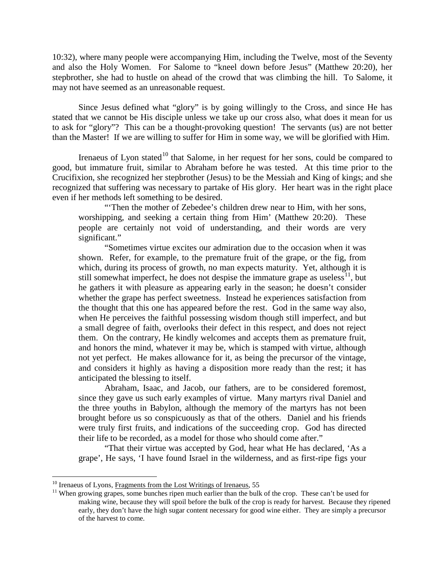10:32), where many people were accompanying Him, including the Twelve, most of the Seventy and also the Holy Women. For Salome to "kneel down before Jesus" (Matthew 20:20), her stepbrother, she had to hustle on ahead of the crowd that was climbing the hill. To Salome, it may not have seemed as an unreasonable request.

Since Jesus defined what "glory" is by going willingly to the Cross, and since He has stated that we cannot be His disciple unless we take up our cross also, what does it mean for us to ask for "glory"? This can be a thought-provoking question! The servants (us) are not better than the Master! If we are willing to suffer for Him in some way, we will be glorified with Him.

Irenaeus of Lyon stated<sup>[10](#page-7-0)</sup> that Salome, in her request for her sons, could be compared to good, but immature fruit, similar to Abraham before he was tested. At this time prior to the Crucifixion, she recognized her stepbrother (Jesus) to be the Messiah and King of kings; and she recognized that suffering was necessary to partake of His glory. Her heart was in the right place even if her methods left something to be desired.

"'Then the mother of Zebedee's children drew near to Him, with her sons, worshipping, and seeking a certain thing from Him' (Matthew 20:20). These people are certainly not void of understanding, and their words are very significant."

"Sometimes virtue excites our admiration due to the occasion when it was shown. Refer, for example, to the premature fruit of the grape, or the fig, from which, during its process of growth, no man expects maturity. Yet, although it is still somewhat imperfect, he does not despise the immature grape as useless<sup>11</sup>, but he gathers it with pleasure as appearing early in the season; he doesn't consider whether the grape has perfect sweetness. Instead he experiences satisfaction from the thought that this one has appeared before the rest. God in the same way also, when He perceives the faithful possessing wisdom though still imperfect, and but a small degree of faith, overlooks their defect in this respect, and does not reject them. On the contrary, He kindly welcomes and accepts them as premature fruit, and honors the mind, whatever it may be, which is stamped with virtue, although not yet perfect. He makes allowance for it, as being the precursor of the vintage, and considers it highly as having a disposition more ready than the rest; it has anticipated the blessing to itself.

Abraham, Isaac, and Jacob, our fathers, are to be considered foremost, since they gave us such early examples of virtue. Many martyrs rival Daniel and the three youths in Babylon, although the memory of the martyrs has not been brought before us so conspicuously as that of the others. Daniel and his friends were truly first fruits, and indications of the succeeding crop. God has directed their life to be recorded, as a model for those who should come after."

"That their virtue was accepted by God, hear what He has declared, 'As a grape', He says, 'I have found Israel in the wilderness, and as first-ripe figs your

<span id="page-7-1"></span><span id="page-7-0"></span>

<sup>&</sup>lt;sup>10</sup> Irenaeus of Lyons, Fragments from the Lost Writings of Irenaeus, 55  $11$  When growing grapes, some bunches ripen much earlier than the bulk of the crop. These can't be used for making wine, because they will spoil before the bulk of the crop is ready for harvest. Because they ripened early, they don't have the high sugar content necessary for good wine either. They are simply a precursor of the harvest to come.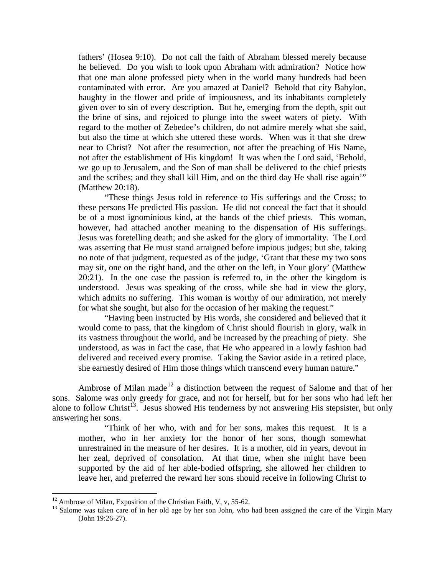fathers' (Hosea 9:10). Do not call the faith of Abraham blessed merely because he believed. Do you wish to look upon Abraham with admiration? Notice how that one man alone professed piety when in the world many hundreds had been contaminated with error. Are you amazed at Daniel? Behold that city Babylon, haughty in the flower and pride of impiousness, and its inhabitants completely given over to sin of every description. But he, emerging from the depth, spit out the brine of sins, and rejoiced to plunge into the sweet waters of piety. With regard to the mother of Zebedee's children, do not admire merely what she said, but also the time at which she uttered these words. When was it that she drew near to Christ? Not after the resurrection, not after the preaching of His Name, not after the establishment of His kingdom! It was when the Lord said, 'Behold, we go up to Jerusalem, and the Son of man shall be delivered to the chief priests and the scribes; and they shall kill Him, and on the third day He shall rise again'" (Matthew 20:18).

"These things Jesus told in reference to His sufferings and the Cross; to these persons He predicted His passion. He did not conceal the fact that it should be of a most ignominious kind, at the hands of the chief priests. This woman, however, had attached another meaning to the dispensation of His sufferings. Jesus was foretelling death; and she asked for the glory of immortality. The Lord was asserting that He must stand arraigned before impious judges; but she, taking no note of that judgment, requested as of the judge, 'Grant that these my two sons may sit, one on the right hand, and the other on the left, in Your glory' (Matthew 20:21). In the one case the passion is referred to, in the other the kingdom is understood. Jesus was speaking of the cross, while she had in view the glory, which admits no suffering. This woman is worthy of our admiration, not merely for what she sought, but also for the occasion of her making the request."

"Having been instructed by His words, she considered and believed that it would come to pass, that the kingdom of Christ should flourish in glory, walk in its vastness throughout the world, and be increased by the preaching of piety. She understood, as was in fact the case, that He who appeared in a lowly fashion had delivered and received every promise. Taking the Savior aside in a retired place, she earnestly desired of Him those things which transcend every human nature."

Ambrose of Milan made<sup>[12](#page-8-0)</sup> a distinction between the request of Salome and that of her sons. Salome was only greedy for grace, and not for herself, but for her sons who had left her alone to follow Christ<sup>[13](#page-8-1)</sup>. Jesus showed His tenderness by not answering His stepsister, but only answering her sons.

"Think of her who, with and for her sons, makes this request. It is a mother, who in her anxiety for the honor of her sons, though somewhat unrestrained in the measure of her desires. It is a mother, old in years, devout in her zeal, deprived of consolation. At that time, when she might have been supported by the aid of her able-bodied offspring, she allowed her children to leave her, and preferred the reward her sons should receive in following Christ to

<span id="page-8-1"></span><span id="page-8-0"></span><sup>&</sup>lt;sup>12</sup> Ambrose of Milan, Exposition of the Christian Faith, V, v, 55-62.<br><sup>13</sup> Salome was taken care of in her old age by her son John, who had been assigned the care of the Virgin Mary (John 19:26-27).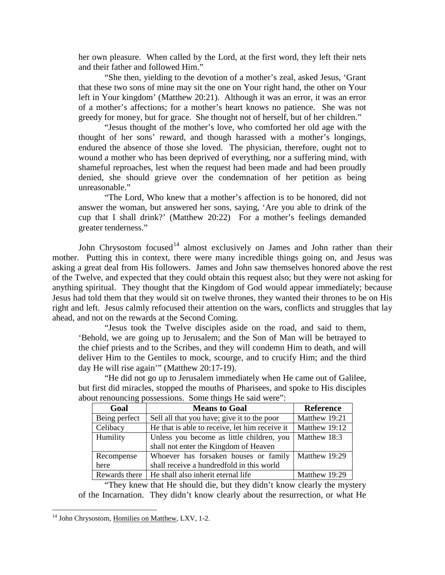her own pleasure. When called by the Lord, at the first word, they left their nets and their father and followed Him."

"She then, yielding to the devotion of a mother's zeal, asked Jesus, 'Grant that these two sons of mine may sit the one on Your right hand, the other on Your left in Your kingdom' (Matthew 20:21). Although it was an error, it was an error of a mother's affections; for a mother's heart knows no patience. She was not greedy for money, but for grace. She thought not of herself, but of her children."

"Jesus thought of the mother's love, who comforted her old age with the thought of her sons' reward, and though harassed with a mother's longings, endured the absence of those she loved. The physician, therefore, ought not to wound a mother who has been deprived of everything, nor a suffering mind, with shameful reproaches, lest when the request had been made and had been proudly denied, she should grieve over the condemnation of her petition as being unreasonable."

"The Lord, Who knew that a mother's affection is to be honored, did not answer the woman, but answered her sons, saying, 'Are you able to drink of the cup that I shall drink?' (Matthew 20:22) For a mother's feelings demanded greater tenderness."

John Chrysostom focused<sup>[14](#page-9-0)</sup> almost exclusively on James and John rather than their mother. Putting this in context, there were many incredible things going on, and Jesus was asking a great deal from His followers. James and John saw themselves honored above the rest of the Twelve, and expected that they could obtain this request also; but they were not asking for anything spiritual. They thought that the Kingdom of God would appear immediately; because Jesus had told them that they would sit on twelve thrones, they wanted their thrones to be on His right and left. Jesus calmly refocused their attention on the wars, conflicts and struggles that lay ahead, and not on the rewards at the Second Coming.

"Jesus took the Twelve disciples aside on the road, and said to them, 'Behold, we are going up to Jerusalem; and the Son of Man will be betrayed to the chief priests and to the Scribes, and they will condemn Him to death, and will deliver Him to the Gentiles to mock, scourge, and to crucify Him; and the third day He will rise again'" (Matthew 20:17-19).

"He did not go up to Jerusalem immediately when He came out of Galilee, but first did miracles, stopped the mouths of Pharisees, and spoke to His disciples about renouncing possessions. Some things He said were":

| Goal          | <b>Means to Goal</b>                           | <b>Reference</b> |
|---------------|------------------------------------------------|------------------|
| Being perfect | Sell all that you have; give it to the poor    | Matthew 19:21    |
| Celibacy      | He that is able to receive, let him receive it | Matthew 19:12    |
| Humility      | Unless you become as little children, you      | Matthew 18:3     |
|               | shall not enter the Kingdom of Heaven          |                  |
| Recompense    | Whoever has forsaken houses or family          | Matthew 19:29    |
| here          | shall receive a hundredfold in this world      |                  |
| Rewards there | He shall also inherit eternal life             | Matthew 19:29    |

"They knew that He should die, but they didn't know clearly the mystery of the Incarnation. They didn't know clearly about the resurrection, or what He

<span id="page-9-0"></span><sup>&</sup>lt;sup>14</sup> John Chrysostom, Homilies on Matthew, LXV, 1-2.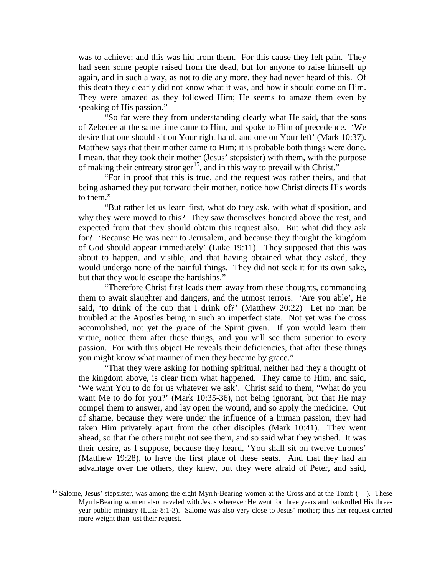was to achieve; and this was hid from them. For this cause they felt pain. They had seen some people raised from the dead, but for anyone to raise himself up again, and in such a way, as not to die any more, they had never heard of this. Of this death they clearly did not know what it was, and how it should come on Him. They were amazed as they followed Him; He seems to amaze them even by speaking of His passion."

"So far were they from understanding clearly what He said, that the sons of Zebedee at the same time came to Him, and spoke to Him of precedence. 'We desire that one should sit on Your right hand, and one on Your left' (Mark 10:37). Matthew says that their mother came to Him; it is probable both things were done. I mean, that they took their mother (Jesus' stepsister) with them, with the purpose of making their entreaty stronger<sup>15</sup>, and in this way to prevail with Christ."

"For in proof that this is true, and the request was rather theirs, and that being ashamed they put forward their mother, notice how Christ directs His words to them."

"But rather let us learn first, what do they ask, with what disposition, and why they were moved to this? They saw themselves honored above the rest, and expected from that they should obtain this request also. But what did they ask for? 'Because He was near to Jerusalem, and because they thought the kingdom of God should appear immediately' (Luke 19:11). They supposed that this was about to happen, and visible, and that having obtained what they asked, they would undergo none of the painful things. They did not seek it for its own sake, but that they would escape the hardships."

"Therefore Christ first leads them away from these thoughts, commanding them to await slaughter and dangers, and the utmost terrors. 'Are you able', He said, 'to drink of the cup that I drink of?' (Matthew 20:22) Let no man be troubled at the Apostles being in such an imperfect state. Not yet was the cross accomplished, not yet the grace of the Spirit given. If you would learn their virtue, notice them after these things, and you will see them superior to every passion. For with this object He reveals their deficiencies, that after these things you might know what manner of men they became by grace."

"That they were asking for nothing spiritual, neither had they a thought of the kingdom above, is clear from what happened. They came to Him, and said, 'We want You to do for us whatever we ask'. Christ said to them, "What do you want Me to do for you?' (Mark 10:35-36), not being ignorant, but that He may compel them to answer, and lay open the wound, and so apply the medicine. Out of shame, because they were under the influence of a human passion, they had taken Him privately apart from the other disciples (Mark 10:41). They went ahead, so that the others might not see them, and so said what they wished. It was their desire, as I suppose, because they heard, 'You shall sit on twelve thrones' (Matthew 19:28), to have the first place of these seats. And that they had an advantage over the others, they knew, but they were afraid of Peter, and said,

<span id="page-10-0"></span><sup>&</sup>lt;sup>15</sup> Salome, Jesus' stepsister, was among the eight Myrrh-Bearing women at the Cross and at the Tomb (). These Myrrh-Bearing women also traveled with Jesus wherever He went for three years and bankrolled His threeyear public ministry (Luke 8:1-3). Salome was also very close to Jesus' mother; thus her request carried more weight than just their request.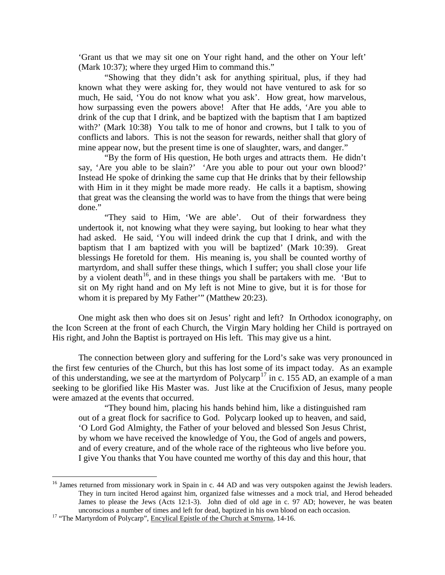'Grant us that we may sit one on Your right hand, and the other on Your left' (Mark 10:37); where they urged Him to command this."

"Showing that they didn't ask for anything spiritual, plus, if they had known what they were asking for, they would not have ventured to ask for so much, He said, 'You do not know what you ask'. How great, how marvelous, how surpassing even the powers above! After that He adds, 'Are you able to drink of the cup that I drink, and be baptized with the baptism that I am baptized with?' (Mark 10:38) You talk to me of honor and crowns, but I talk to you of conflicts and labors. This is not the season for rewards, neither shall that glory of mine appear now, but the present time is one of slaughter, wars, and danger."

"By the form of His question, He both urges and attracts them. He didn't say, 'Are you able to be slain?' 'Are you able to pour out your own blood?' Instead He spoke of drinking the same cup that He drinks that by their fellowship with Him in it they might be made more ready. He calls it a baptism, showing that great was the cleansing the world was to have from the things that were being done."

"They said to Him, 'We are able'. Out of their forwardness they undertook it, not knowing what they were saying, but looking to hear what they had asked. He said, 'You will indeed drink the cup that I drink, and with the baptism that I am baptized with you will be baptized' (Mark 10:39). Great blessings He foretold for them. His meaning is, you shall be counted worthy of martyrdom, and shall suffer these things, which I suffer; you shall close your life by a violent death<sup>16</sup>, and in these things you shall be partakers with me. 'But to sit on My right hand and on My left is not Mine to give, but it is for those for whom it is prepared by My Father'" (Matthew 20:23).

One might ask then who does sit on Jesus' right and left? In Orthodox iconography, on the Icon Screen at the front of each Church, the Virgin Mary holding her Child is portrayed on His right, and John the Baptist is portrayed on His left. This may give us a hint.

The connection between glory and suffering for the Lord's sake was very pronounced in the first few centuries of the Church, but this has lost some of its impact today. As an example of this understanding, we see at the martyrdom of Polycarp<sup>[17](#page-11-1)</sup> in c. 155 AD, an example of a man seeking to be glorified like His Master was. Just like at the Crucifixion of Jesus, many people were amazed at the events that occurred.

"They bound him, placing his hands behind him, like a distinguished ram out of a great flock for sacrifice to God. Polycarp looked up to heaven, and said, 'O Lord God Almighty, the Father of your beloved and blessed Son Jesus Christ, by whom we have received the knowledge of You, the God of angels and powers, and of every creature, and of the whole race of the righteous who live before you. I give You thanks that You have counted me worthy of this day and this hour, that

<span id="page-11-0"></span><sup>&</sup>lt;sup>16</sup> James returned from missionary work in Spain in c. 44 AD and was very outspoken against the Jewish leaders. They in turn incited Herod against him, organized false witnesses and a mock trial, and Herod beheaded James to please the Jews (Acts 12:1-3). John died of old age in c. 97 AD; however, he was beaten unconscious a number of times and left for dead, baptized in his own blood on each occasion.<br><sup>17</sup> "The Martyrdom of Polycarp", <u>Encylical Epistle of the Church at Smyrna</u>, 14-16.

<span id="page-11-1"></span>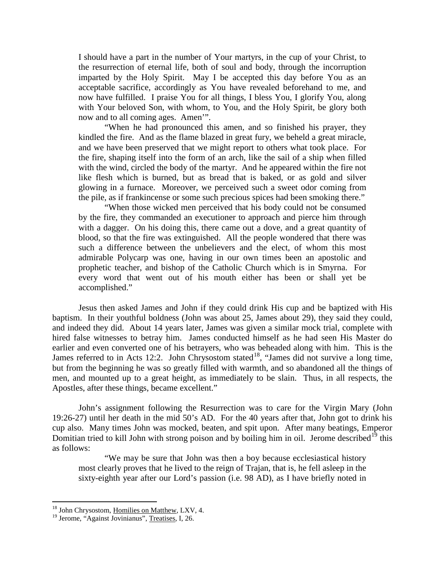I should have a part in the number of Your martyrs, in the cup of your Christ, to the resurrection of eternal life, both of soul and body, through the incorruption imparted by the Holy Spirit. May I be accepted this day before You as an acceptable sacrifice, accordingly as You have revealed beforehand to me, and now have fulfilled. I praise You for all things, I bless You, I glorify You, along with Your beloved Son, with whom, to You, and the Holy Spirit, be glory both now and to all coming ages. Amen'".

"When he had pronounced this amen, and so finished his prayer, they kindled the fire. And as the flame blazed in great fury, we beheld a great miracle, and we have been preserved that we might report to others what took place. For the fire, shaping itself into the form of an arch, like the sail of a ship when filled with the wind, circled the body of the martyr. And he appeared within the fire not like flesh which is burned, but as bread that is baked, or as gold and silver glowing in a furnace. Moreover, we perceived such a sweet odor coming from the pile, as if frankincense or some such precious spices had been smoking there."

"When those wicked men perceived that his body could not be consumed by the fire, they commanded an executioner to approach and pierce him through with a dagger. On his doing this, there came out a dove, and a great quantity of blood, so that the fire was extinguished. All the people wondered that there was such a difference between the unbelievers and the elect, of whom this most admirable Polycarp was one, having in our own times been an apostolic and prophetic teacher, and bishop of the Catholic Church which is in Smyrna. For every word that went out of his mouth either has been or shall yet be accomplished."

Jesus then asked James and John if they could drink His cup and be baptized with His baptism. In their youthful boldness (John was about 25, James about 29), they said they could, and indeed they did. About 14 years later, James was given a similar mock trial, complete with hired false witnesses to betray him. James conducted himself as he had seen His Master do earlier and even converted one of his betrayers, who was beheaded along with him. This is the James referred to in Acts 12:2. John Chrysostom stated<sup>18</sup>, "James did not survive a long time, but from the beginning he was so greatly filled with warmth, and so abandoned all the things of men, and mounted up to a great height, as immediately to be slain. Thus, in all respects, the Apostles, after these things, became excellent."

John's assignment following the Resurrection was to care for the Virgin Mary (John 19:26-27) until her death in the mid 50's AD. For the 40 years after that, John got to drink his cup also. Many times John was mocked, beaten, and spit upon. After many beatings, Emperor Domitian tried to kill John with strong poison and by boiling him in oil. Jerome described<sup>[19](#page-12-1)</sup> this as follows:

"We may be sure that John was then a boy because ecclesiastical history most clearly proves that he lived to the reign of Trajan, that is, he fell asleep in the sixty-eighth year after our Lord's passion (i.e. 98 AD), as I have briefly noted in

<span id="page-12-0"></span><sup>&</sup>lt;sup>18</sup> John Chrysostom, Homilies on Matthew, LXV, 4.

<span id="page-12-1"></span><sup>&</sup>lt;sup>19</sup> Jerome, "Against Jovinianus", Treatises, I, 26.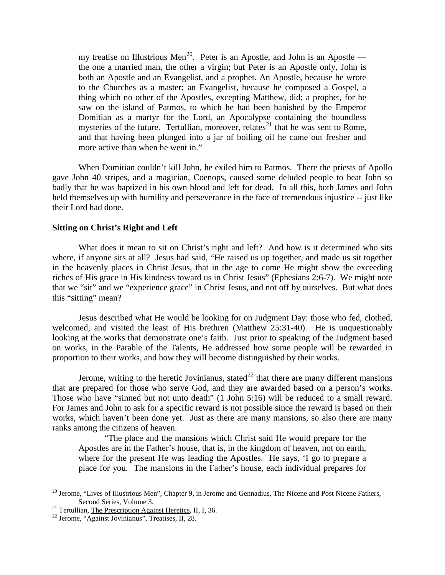my treatise on Illustrious Men<sup>20</sup>. Peter is an Apostle, and John is an Apostle the one a married man, the other a virgin; but Peter is an Apostle only, John is both an Apostle and an Evangelist, and a prophet. An Apostle, because he wrote to the Churches as a master; an Evangelist, because he composed a Gospel, a thing which no other of the Apostles, excepting Matthew, did; a prophet, for he saw on the island of Patmos, to which he had been banished by the Emperor Domitian as a martyr for the Lord, an Apocalypse containing the boundless mysteries of the future. Tertullian, moreover, relates<sup>[21](#page-13-2)</sup> that he was sent to Rome, and that having been plunged into a jar of boiling oil he came out fresher and more active than when he went in."

When Domitian couldn't kill John, he exiled him to Patmos. There the priests of Apollo gave John 40 stripes, and a magician, Coenops, caused some deluded people to beat John so badly that he was baptized in his own blood and left for dead. In all this, both James and John held themselves up with humility and perseverance in the face of tremendous injustice -- just like their Lord had done.

## <span id="page-13-0"></span>**Sitting on Christ's Right and Left**

What does it mean to sit on Christ's right and left? And how is it determined who sits where, if anyone sits at all? Jesus had said, "He raised us up together, and made us sit together in the heavenly places in Christ Jesus, that in the age to come He might show the exceeding riches of His grace in His kindness toward us in Christ Jesus" (Ephesians 2:6-7). We might note that we "sit" and we "experience grace" in Christ Jesus, and not off by ourselves. But what does this "sitting" mean?

Jesus described what He would be looking for on Judgment Day: those who fed, clothed, welcomed, and visited the least of His brethren (Matthew 25:31-40). He is unquestionably looking at the works that demonstrate one's faith. Just prior to speaking of the Judgment based on works, in the Parable of the Talents, He addressed how some people will be rewarded in proportion to their works, and how they will become distinguished by their works.

Jerome, writing to the heretic Jovinianus, stated<sup>[22](#page-13-3)</sup> that there are many different mansions that are prepared for those who serve God, and they are awarded based on a person's works. Those who have "sinned but not unto death" (1 John 5:16) will be reduced to a small reward. For James and John to ask for a specific reward is not possible since the reward is based on their works, which haven't been done yet. Just as there are many mansions, so also there are many ranks among the citizens of heaven.

"The place and the mansions which Christ said He would prepare for the Apostles are in the Father's house, that is, in the kingdom of heaven, not on earth, where for the present He was leading the Apostles. He says, 'I go to prepare a place for you. The mansions in the Father's house, each individual prepares for

<span id="page-13-1"></span><sup>&</sup>lt;sup>20</sup> Jerome, "Lives of Illustrious Men", Chapter 9, in Jerome and Gennadius, The Nicene and Post Nicene Fathers, Second Series, Volume 3.

<span id="page-13-2"></span><sup>&</sup>lt;sup>21</sup> Tertullian, <u>The Prescription Against Heretics</u>, II, I, 36. <sup>22</sup> Jerome, "Against Jovinianus", Treatises, II, 28.

<span id="page-13-3"></span>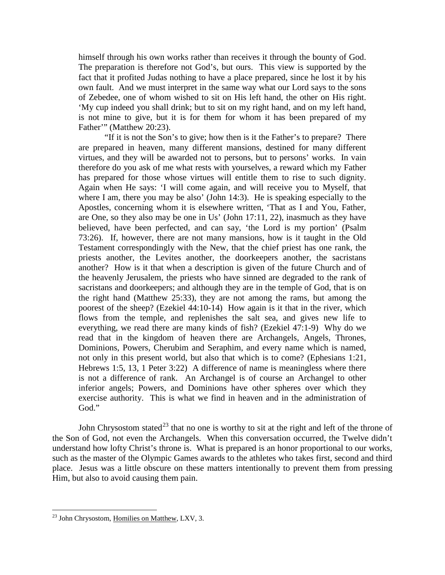himself through his own works rather than receives it through the bounty of God. The preparation is therefore not God's, but ours. This view is supported by the fact that it profited Judas nothing to have a place prepared, since he lost it by his own fault. And we must interpret in the same way what our Lord says to the sons of Zebedee, one of whom wished to sit on His left hand, the other on His right. 'My cup indeed you shall drink; but to sit on my right hand, and on my left hand, is not mine to give, but it is for them for whom it has been prepared of my Father'" (Matthew 20:23).

"If it is not the Son's to give; how then is it the Father's to prepare? There are prepared in heaven, many different mansions, destined for many different virtues, and they will be awarded not to persons, but to persons' works. In vain therefore do you ask of me what rests with yourselves, a reward which my Father has prepared for those whose virtues will entitle them to rise to such dignity. Again when He says: 'I will come again, and will receive you to Myself, that where I am, there you may be also' (John 14:3). He is speaking especially to the Apostles, concerning whom it is elsewhere written, 'That as I and You, Father, are One, so they also may be one in Us' (John 17:11, 22), inasmuch as they have believed, have been perfected, and can say, 'the Lord is my portion' (Psalm 73:26). If, however, there are not many mansions, how is it taught in the Old Testament correspondingly with the New, that the chief priest has one rank, the priests another, the Levites another, the doorkeepers another, the sacristans another? How is it that when a description is given of the future Church and of the heavenly Jerusalem, the priests who have sinned are degraded to the rank of sacristans and doorkeepers; and although they are in the temple of God, that is on the right hand (Matthew 25:33), they are not among the rams, but among the poorest of the sheep? (Ezekiel 44:10-14) How again is it that in the river, which flows from the temple, and replenishes the salt sea, and gives new life to everything, we read there are many kinds of fish? (Ezekiel 47:1-9) Why do we read that in the kingdom of heaven there are Archangels, Angels, Thrones, Dominions, Powers, Cherubim and Seraphim, and every name which is named, not only in this present world, but also that which is to come? (Ephesians 1:21, Hebrews 1:5, 13, 1 Peter 3:22) A difference of name is meaningless where there is not a difference of rank. An Archangel is of course an Archangel to other inferior angels; Powers, and Dominions have other spheres over which they exercise authority. This is what we find in heaven and in the administration of God."

John Chrysostom stated<sup>[23](#page-14-0)</sup> that no one is worthy to sit at the right and left of the throne of the Son of God, not even the Archangels. When this conversation occurred, the Twelve didn't understand how lofty Christ's throne is. What is prepared is an honor proportional to our works, such as the master of the Olympic Games awards to the athletes who takes first, second and third place. Jesus was a little obscure on these matters intentionally to prevent them from pressing Him, but also to avoid causing them pain.

<span id="page-14-0"></span><sup>&</sup>lt;sup>23</sup> John Chrysostom, Homilies on Matthew, LXV, 3.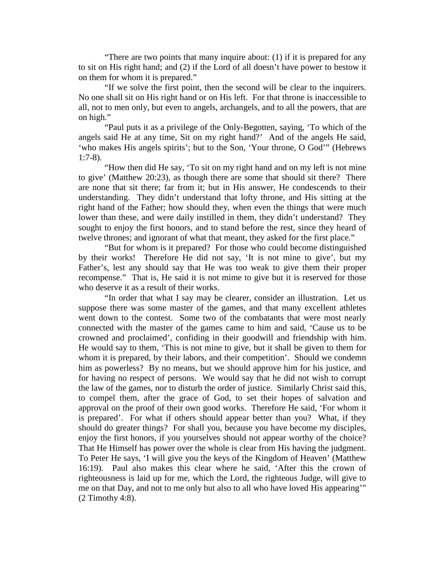"There are two points that many inquire about: (1) if it is prepared for any to sit on His right hand; and (2) if the Lord of all doesn't have power to bestow it on them for whom it is prepared."

"If we solve the first point, then the second will be clear to the inquirers. No one shall sit on His right hand or on His left. For that throne is inaccessible to all, not to men only, but even to angels, archangels, and to all the powers, that are on high."

"Paul puts it as a privilege of the Only-Begotten, saying, 'To which of the angels said He at any time, Sit on my right hand?' And of the angels He said, 'who makes His angels spirits'; but to the Son, 'Your throne, O God'" (Hebrews 1:7-8).

"How then did He say, 'To sit on my right hand and on my left is not mine to give' (Matthew 20:23), as though there are some that should sit there? There are none that sit there; far from it; but in His answer, He condescends to their understanding. They didn't understand that lofty throne, and His sitting at the right hand of the Father; how should they, when even the things that were much lower than these, and were daily instilled in them, they didn't understand? They sought to enjoy the first honors, and to stand before the rest, since they heard of twelve thrones; and ignorant of what that meant, they asked for the first place."

"But for whom is it prepared? For those who could become distinguished by their works! Therefore He did not say, 'It is not mine to give', but my Father's, lest any should say that He was too weak to give them their proper recompense." That is, He said it is not mime to give but it is reserved for those who deserve it as a result of their works.

"In order that what I say may be clearer, consider an illustration. Let us suppose there was some master of the games, and that many excellent athletes went down to the contest. Some two of the combatants that were most nearly connected with the master of the games came to him and said, 'Cause us to be crowned and proclaimed', confiding in their goodwill and friendship with him. He would say to them, 'This is not mine to give, but it shall be given to them for whom it is prepared, by their labors, and their competition'. Should we condemn him as powerless? By no means, but we should approve him for his justice, and for having no respect of persons. We would say that he did not wish to corrupt the law of the games, nor to disturb the order of justice. Similarly Christ said this, to compel them, after the grace of God, to set their hopes of salvation and approval on the proof of their own good works. Therefore He said, 'For whom it is prepared'. For what if others should appear better than you? What, if they should do greater things? For shall you, because you have become my disciples, enjoy the first honors, if you yourselves should not appear worthy of the choice? That He Himself has power over the whole is clear from His having the judgment. To Peter He says, 'I will give you the keys of the Kingdom of Heaven' (Matthew 16:19). Paul also makes this clear where he said, 'After this the crown of righteousness is laid up for me, which the Lord, the righteous Judge, will give to me on that Day, and not to me only but also to all who have loved His appearing'" (2 Timothy 4:8).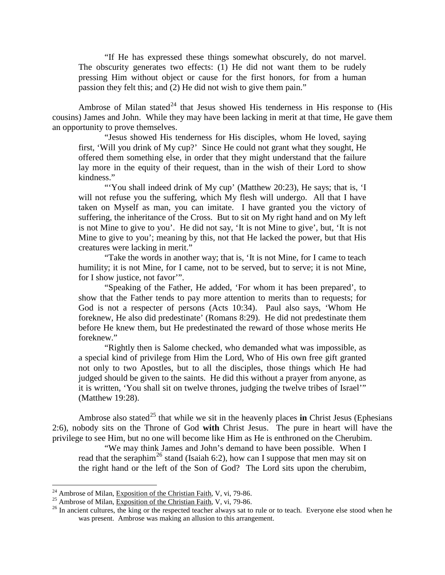"If He has expressed these things somewhat obscurely, do not marvel. The obscurity generates two effects: (1) He did not want them to be rudely pressing Him without object or cause for the first honors, for from a human passion they felt this; and (2) He did not wish to give them pain."

Ambrose of Milan stated<sup>[24](#page-16-0)</sup> that Jesus showed His tenderness in His response to (His cousins) James and John. While they may have been lacking in merit at that time, He gave them an opportunity to prove themselves.

"Jesus showed His tenderness for His disciples, whom He loved, saying first, 'Will you drink of My cup?' Since He could not grant what they sought, He offered them something else, in order that they might understand that the failure lay more in the equity of their request, than in the wish of their Lord to show kindness."

"You shall indeed drink of My cup' (Matthew 20:23), He says; that is, 'I will not refuse you the suffering, which My flesh will undergo. All that I have taken on Myself as man, you can imitate. I have granted you the victory of suffering, the inheritance of the Cross. But to sit on My right hand and on My left is not Mine to give to you'. He did not say, 'It is not Mine to give', but, 'It is not Mine to give to you'; meaning by this, not that He lacked the power, but that His creatures were lacking in merit."

"Take the words in another way; that is, 'It is not Mine, for I came to teach humility; it is not Mine, for I came, not to be served, but to serve; it is not Mine, for I show justice, not favor'".

"Speaking of the Father, He added, 'For whom it has been prepared', to show that the Father tends to pay more attention to merits than to requests; for God is not a respecter of persons (Acts 10:34). Paul also says, 'Whom He foreknew, He also did predestinate' (Romans 8:29). He did not predestinate them before He knew them, but He predestinated the reward of those whose merits He foreknew."

"Rightly then is Salome checked, who demanded what was impossible, as a special kind of privilege from Him the Lord, Who of His own free gift granted not only to two Apostles, but to all the disciples, those things which He had judged should be given to the saints. He did this without a prayer from anyone, as it is written, 'You shall sit on twelve thrones, judging the twelve tribes of Israel'" (Matthew 19:28).

Ambrose also stated<sup>[25](#page-16-1)</sup> that while we sit in the heavenly places **in** Christ Jesus (Ephesians 2:6), nobody sits on the Throne of God **with** Christ Jesus. The pure in heart will have the privilege to see Him, but no one will become like Him as He is enthroned on the Cherubim.

"We may think James and John's demand to have been possible. When I read that the seraphim<sup>[26](#page-16-2)</sup> stand (Isaiah 6:2), how can I suppose that men may sit on the right hand or the left of the Son of God? The Lord sits upon the cherubim,

<span id="page-16-2"></span><span id="page-16-1"></span>

<span id="page-16-0"></span><sup>&</sup>lt;sup>24</sup> Ambrose of Milan, Exposition of the Christian Faith, V, vi, 79-86.<br><sup>25</sup> Ambrose of Milan, Exposition of the Christian Faith, V, vi, 79-86.<br><sup>25</sup> In ancient cultures, the king or the respected teacher always sat to rul was present. Ambrose was making an allusion to this arrangement.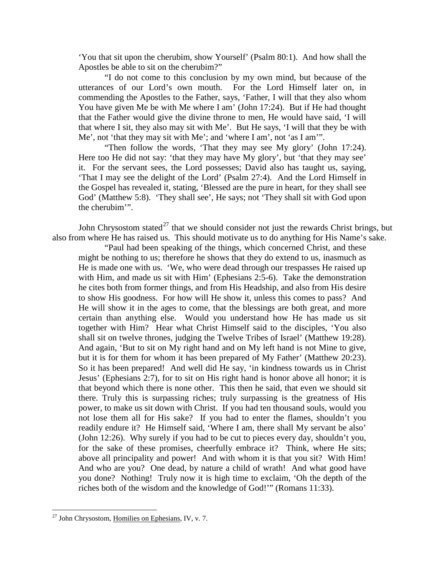'You that sit upon the cherubim, show Yourself' (Psalm 80:1). And how shall the Apostles be able to sit on the cherubim?"

"I do not come to this conclusion by my own mind, but because of the utterances of our Lord's own mouth. For the Lord Himself later on, in commending the Apostles to the Father, says, 'Father, I will that they also whom You have given Me be with Me where I am' (John 17:24). But if He had thought that the Father would give the divine throne to men, He would have said, 'I will that where I sit, they also may sit with Me'. But He says, 'I will that they be with Me', not 'that they may sit with Me'; and 'where I am', not 'as I am'".

"Then follow the words, 'That they may see My glory' (John 17:24). Here too He did not say: 'that they may have My glory', but 'that they may see' it. For the servant sees, the Lord possesses; David also has taught us, saying, 'That I may see the delight of the Lord' (Psalm 27:4). And the Lord Himself in the Gospel has revealed it, stating, 'Blessed are the pure in heart, for they shall see God' (Matthew 5:8). 'They shall see', He says; not 'They shall sit with God upon the cherubim'".

John Chrysostom stated<sup>[27](#page-17-0)</sup> that we should consider not just the rewards Christ brings, but also from where He has raised us. This should motivate us to do anything for His Name's sake.

"Paul had been speaking of the things, which concerned Christ, and these might be nothing to us; therefore he shows that they do extend to us, inasmuch as He is made one with us. 'We, who were dead through our trespasses He raised up with Him, and made us sit with Him' (Ephesians 2:5-6). Take the demonstration he cites both from former things, and from His Headship, and also from His desire to show His goodness. For how will He show it, unless this comes to pass? And He will show it in the ages to come, that the blessings are both great, and more certain than anything else. Would you understand how He has made us sit together with Him? Hear what Christ Himself said to the disciples, 'You also shall sit on twelve thrones, judging the Twelve Tribes of Israel' (Matthew 19:28). And again, 'But to sit on My right hand and on My left hand is not Mine to give, but it is for them for whom it has been prepared of My Father' (Matthew 20:23). So it has been prepared! And well did He say, 'in kindness towards us in Christ Jesus' (Ephesians 2:7), for to sit on His right hand is honor above all honor; it is that beyond which there is none other. This then he said, that even we should sit there. Truly this is surpassing riches; truly surpassing is the greatness of His power, to make us sit down with Christ. If you had ten thousand souls, would you not lose them all for His sake? If you had to enter the flames, shouldn't you readily endure it? He Himself said, 'Where I am, there shall My servant be also' (John 12:26). Why surely if you had to be cut to pieces every day, shouldn't you, for the sake of these promises, cheerfully embrace it? Think, where He sits; above all principality and power! And with whom it is that you sit? With Him! And who are you? One dead, by nature a child of wrath! And what good have you done? Nothing! Truly now it is high time to exclaim, 'Oh the depth of the riches both of the wisdom and the knowledge of God!'" (Romans 11:33).

<span id="page-17-0"></span> $^{27}$  John Chrysostom, Homilies on Ephesians, IV, v. 7.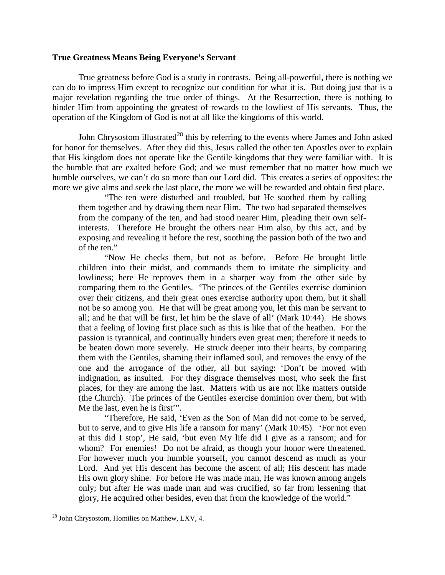## <span id="page-18-0"></span>**True Greatness Means Being Everyone's Servant**

True greatness before God is a study in contrasts. Being all-powerful, there is nothing we can do to impress Him except to recognize our condition for what it is. But doing just that is a major revelation regarding the true order of things. At the Resurrection, there is nothing to hinder Him from appointing the greatest of rewards to the lowliest of His servants. Thus, the operation of the Kingdom of God is not at all like the kingdoms of this world.

John Chrysostom illustrated<sup>[28](#page-18-1)</sup> this by referring to the events where James and John asked for honor for themselves. After they did this, Jesus called the other ten Apostles over to explain that His kingdom does not operate like the Gentile kingdoms that they were familiar with. It is the humble that are exalted before God; and we must remember that no matter how much we humble ourselves, we can't do so more than our Lord did. This creates a series of opposites: the more we give alms and seek the last place, the more we will be rewarded and obtain first place.

"The ten were disturbed and troubled, but He soothed them by calling them together and by drawing them near Him. The two had separated themselves from the company of the ten, and had stood nearer Him, pleading their own selfinterests. Therefore He brought the others near Him also, by this act, and by exposing and revealing it before the rest, soothing the passion both of the two and of the ten."

"Now He checks them, but not as before. Before He brought little children into their midst, and commands them to imitate the simplicity and lowliness; here He reproves them in a sharper way from the other side by comparing them to the Gentiles. 'The princes of the Gentiles exercise dominion over their citizens, and their great ones exercise authority upon them, but it shall not be so among you. He that will be great among you, let this man be servant to all; and he that will be first, let him be the slave of all' (Mark 10:44). He shows that a feeling of loving first place such as this is like that of the heathen. For the passion is tyrannical, and continually hinders even great men; therefore it needs to be beaten down more severely. He struck deeper into their hearts, by comparing them with the Gentiles, shaming their inflamed soul, and removes the envy of the one and the arrogance of the other, all but saying: 'Don't be moved with indignation, as insulted. For they disgrace themselves most, who seek the first places, for they are among the last. Matters with us are not like matters outside (the Church). The princes of the Gentiles exercise dominion over them, but with Me the last, even he is first'".

"Therefore, He said, 'Even as the Son of Man did not come to be served, but to serve, and to give His life a ransom for many' (Mark 10:45). 'For not even at this did I stop', He said, 'but even My life did I give as a ransom; and for whom? For enemies! Do not be afraid, as though your honor were threatened. For however much you humble yourself, you cannot descend as much as your Lord. And yet His descent has become the ascent of all; His descent has made His own glory shine. For before He was made man, He was known among angels only; but after He was made man and was crucified, so far from lessening that glory, He acquired other besides, even that from the knowledge of the world."

<span id="page-18-1"></span> <sup>28</sup> John Chrysostom, Homilies on Matthew, LXV, 4.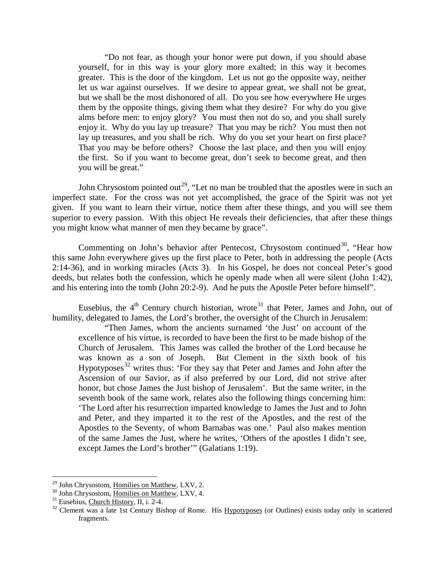"Do not fear, as though your honor were put down, if you should abase yourself, for in this way is your glory more exalted; in this way it becomes greater. This is the door of the kingdom. Let us not go the opposite way, neither let us war against ourselves. If we desire to appear great, we shall not be great, but we shall be the most dishonored of all. Do you see how everywhere He urges them by the opposite things, giving them what they desire? For why do you give alms before men: to enjoy glory? You must then not do so, and you shall surely enjoy it. Why do you lay up treasure? That you may be rich? You must then not lay up treasures, and you shall be rich. Why do you set your heart on first place? That you may be before others? Choose the last place, and then you will enjoy the first. So if you want to become great, don't seek to become great, and then you will be great."

John Chrysostom pointed out<sup>29</sup>, "Let no man be troubled that the apostles were in such an imperfect state. For the cross was not yet accomplished, the grace of the Spirit was not yet given. If you want to learn their virtue, notice them after these things, and you will see them superior to every passion. With this object He reveals their deficiencies, that after these things you might know what manner of men they became by grace".

Commenting on John's behavior after Pentecost, Chrysostom continued<sup>[30](#page-19-1)</sup>, "Hear how this same John everywhere gives up the first place to Peter, both in addressing the people (Acts 2:14-36), and in working miracles (Acts 3). In his Gospel, he does not conceal Peter's good deeds, but relates both the confession, which he openly made when all were silent (John 1:42), and his entering into the tomb (John 20:2-9). And he puts the Apostle Peter before himself".

Eusebius, the  $4<sup>th</sup>$  Century church historian, wrote<sup>[31](#page-19-2)</sup> that Peter, James and John, out of humility, delegated to James, the Lord's brother, the oversight of the Church in Jerusalem:

"Then James, whom the ancients surnamed 'the Just' on account of the excellence of his virtue, is recorded to have been the first to be made bishop of the Church of Jerusalem. This James was called the brother of the Lord because he was known as a son of Joseph. But Clement in the sixth book of his Hypotyposes<sup>[32](#page-19-3)</sup> writes thus: 'For they say that Peter and James and John after the Ascension of our Savior, as if also preferred by our Lord, did not strive after honor, but chose James the Just bishop of Jerusalem'. But the same writer, in the seventh book of the same work, relates also the following things concerning him: 'The Lord after his resurrection imparted knowledge to James the Just and to John and Peter, and they imparted it to the rest of the Apostles, and the rest of the Apostles to the Seventy, of whom Barnabas was one.' Paul also makes mention of the same James the Just, where he writes, 'Others of the apostles I didn't see, except James the Lord's brother'" (Galatians 1:19).

<span id="page-19-3"></span><span id="page-19-2"></span>

<span id="page-19-1"></span><span id="page-19-0"></span><sup>&</sup>lt;sup>29</sup> John Chrysostom, <u>Homilies on Matthew</u>, LXV, 2.<br><sup>30</sup> John Chrysostom, <u>Homilies on Matthew</u>, LXV, 4.<br><sup>31</sup> Eusebius, <u>Church History</u>, II, i. 2-4.<br><sup>32</sup> Clement was a late 1st Century Bishop of Rome. His <u>Hypotyposes</u> fragments.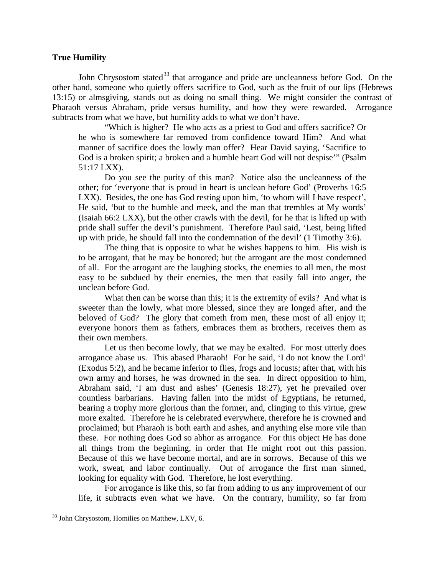# <span id="page-20-0"></span>**True Humility**

John Chrysostom stated<sup>[33](#page-20-1)</sup> that arrogance and pride are uncleanness before God. On the other hand, someone who quietly offers sacrifice to God, such as the fruit of our lips (Hebrews 13:15) or almsgiving, stands out as doing no small thing. We might consider the contrast of Pharaoh versus Abraham, pride versus humility, and how they were rewarded. Arrogance subtracts from what we have, but humility adds to what we don't have.

"Which is higher? He who acts as a priest to God and offers sacrifice? Or he who is somewhere far removed from confidence toward Him? And what manner of sacrifice does the lowly man offer? Hear David saying, 'Sacrifice to God is a broken spirit; a broken and a humble heart God will not despise'" (Psalm 51:17 LXX).

Do you see the purity of this man? Notice also the uncleanness of the other; for 'everyone that is proud in heart is unclean before God' (Proverbs 16:5 LXX). Besides, the one has God resting upon him, 'to whom will I have respect', He said, 'but to the humble and meek, and the man that trembles at My words' (Isaiah 66:2 LXX), but the other crawls with the devil, for he that is lifted up with pride shall suffer the devil's punishment. Therefore Paul said, 'Lest, being lifted up with pride, he should fall into the condemnation of the devil' (1 Timothy 3:6).

The thing that is opposite to what he wishes happens to him. His wish is to be arrogant, that he may be honored; but the arrogant are the most condemned of all. For the arrogant are the laughing stocks, the enemies to all men, the most easy to be subdued by their enemies, the men that easily fall into anger, the unclean before God.

What then can be worse than this; it is the extremity of evils? And what is sweeter than the lowly, what more blessed, since they are longed after, and the beloved of God? The glory that cometh from men, these most of all enjoy it; everyone honors them as fathers, embraces them as brothers, receives them as their own members.

Let us then become lowly, that we may be exalted. For most utterly does arrogance abase us. This abased Pharaoh! For he said, 'I do not know the Lord' (Exodus 5:2), and he became inferior to flies, frogs and locusts; after that, with his own army and horses, he was drowned in the sea. In direct opposition to him, Abraham said, 'I am dust and ashes' (Genesis 18:27), yet he prevailed over countless barbarians. Having fallen into the midst of Egyptians, he returned, bearing a trophy more glorious than the former, and, clinging to this virtue, grew more exalted. Therefore he is celebrated everywhere, therefore he is crowned and proclaimed; but Pharaoh is both earth and ashes, and anything else more vile than these. For nothing does God so abhor as arrogance. For this object He has done all things from the beginning, in order that He might root out this passion. Because of this we have become mortal, and are in sorrows. Because of this we work, sweat, and labor continually. Out of arrogance the first man sinned, looking for equality with God. Therefore, he lost everything.

For arrogance is like this, so far from adding to us any improvement of our life, it subtracts even what we have. On the contrary, humility, so far from

<span id="page-20-1"></span><sup>&</sup>lt;sup>33</sup> John Chrysostom, Homilies on Matthew, LXV, 6.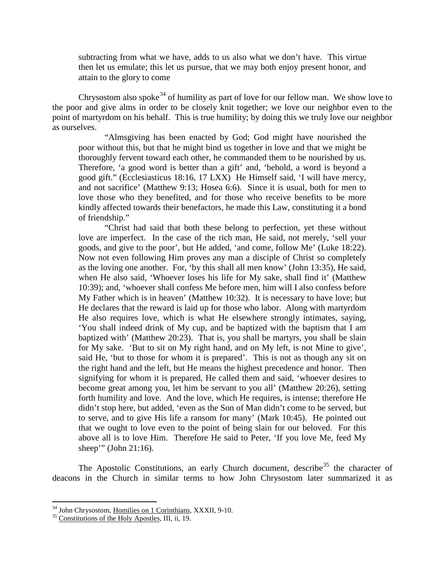subtracting from what we have, adds to us also what we don't have. This virtue then let us emulate; this let us pursue, that we may both enjoy present honor, and attain to the glory to come

Chrysostom also spoke<sup>[34](#page-21-0)</sup> of humility as part of love for our fellow man. We show love to the poor and give alms in order to be closely knit together; we love our neighbor even to the point of martyrdom on his behalf. This is true humility; by doing this we truly love our neighbor as ourselves.

"Almsgiving has been enacted by God; God might have nourished the poor without this, but that he might bind us together in love and that we might be thoroughly fervent toward each other, he commanded them to be nourished by us. Therefore, 'a good word is better than a gift' and, 'behold, a word is beyond a good gift." (Ecclesiasticus 18:16, 17 LXX) He Himself said, 'I will have mercy, and not sacrifice' (Matthew 9:13; Hosea 6:6). Since it is usual, both for men to love those who they benefited, and for those who receive benefits to be more kindly affected towards their benefactors, he made this Law, constituting it a bond of friendship."

"Christ had said that both these belong to perfection, yet these without love are imperfect. In the case of the rich man, He said, not merely, 'sell your goods, and give to the poor', but He added, 'and come, follow Me' (Luke 18:22). Now not even following Him proves any man a disciple of Christ so completely as the loving one another. For, 'by this shall all men know' (John 13:35), He said, when He also said, 'Whoever loses his life for My sake, shall find it' (Matthew 10:39); and, 'whoever shall confess Me before men, him will I also confess before My Father which is in heaven' (Matthew 10:32). It is necessary to have love; but He declares that the reward is laid up for those who labor. Along with martyrdom He also requires love, which is what He elsewhere strongly intimates, saying, 'You shall indeed drink of My cup, and be baptized with the baptism that I am baptized with' (Matthew 20:23). That is, you shall be martyrs, you shall be slain for My sake. 'But to sit on My right hand, and on My left, is not Mine to give', said He, 'but to those for whom it is prepared'. This is not as though any sit on the right hand and the left, but He means the highest precedence and honor. Then signifying for whom it is prepared, He called them and said, 'whoever desires to become great among you, let him be servant to you all' (Matthew 20:26), setting forth humility and love. And the love, which He requires, is intense; therefore He didn't stop here, but added, 'even as the Son of Man didn't come to be served, but to serve, and to give His life a ransom for many' (Mark 10:45). He pointed out that we ought to love even to the point of being slain for our beloved. For this above all is to love Him. Therefore He said to Peter, 'If you love Me, feed My sheep'" (John 21:16).

The Apostolic Constitutions, an early Church document, describe<sup>[35](#page-21-1)</sup> the character of deacons in the Church in similar terms to how John Chrysostom later summarized it as

<span id="page-21-0"></span> $34$  John Chrysostom, <u>Homilies on 1 Corinthians</u>, XXXII, 9-10.  $35$  Constitutions of the Holy Apostles, III, ii, 19.

<span id="page-21-1"></span>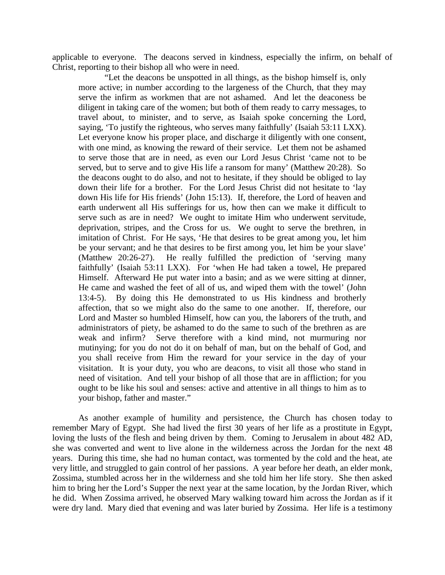applicable to everyone. The deacons served in kindness, especially the infirm, on behalf of Christ, reporting to their bishop all who were in need.

"Let the deacons be unspotted in all things, as the bishop himself is, only more active; in number according to the largeness of the Church, that they may serve the infirm as workmen that are not ashamed. And let the deaconess be diligent in taking care of the women; but both of them ready to carry messages, to travel about, to minister, and to serve, as Isaiah spoke concerning the Lord, saying, 'To justify the righteous, who serves many faithfully' (Isaiah 53:11 LXX). Let everyone know his proper place, and discharge it diligently with one consent, with one mind, as knowing the reward of their service. Let them not be ashamed to serve those that are in need, as even our Lord Jesus Christ 'came not to be served, but to serve and to give His life a ransom for many' (Matthew 20:28). So the deacons ought to do also, and not to hesitate, if they should be obliged to lay down their life for a brother. For the Lord Jesus Christ did not hesitate to 'lay down His life for His friends' (John 15:13). If, therefore, the Lord of heaven and earth underwent all His sufferings for us, how then can we make it difficult to serve such as are in need? We ought to imitate Him who underwent servitude, deprivation, stripes, and the Cross for us. We ought to serve the brethren, in imitation of Christ. For He says, 'He that desires to be great among you, let him be your servant; and he that desires to be first among you, let him be your slave' (Matthew 20:26-27). He really fulfilled the prediction of 'serving many faithfully' (Isaiah 53:11 LXX). For 'when He had taken a towel, He prepared Himself. Afterward He put water into a basin; and as we were sitting at dinner, He came and washed the feet of all of us, and wiped them with the towel' (John 13:4-5). By doing this He demonstrated to us His kindness and brotherly affection, that so we might also do the same to one another. If, therefore, our Lord and Master so humbled Himself, how can you, the laborers of the truth, and administrators of piety, be ashamed to do the same to such of the brethren as are weak and infirm? Serve therefore with a kind mind, not murmuring nor mutinying; for you do not do it on behalf of man, but on the behalf of God, and you shall receive from Him the reward for your service in the day of your visitation. It is your duty, you who are deacons, to visit all those who stand in need of visitation. And tell your bishop of all those that are in affliction; for you ought to be like his soul and senses: active and attentive in all things to him as to your bishop, father and master."

As another example of humility and persistence, the Church has chosen today to remember Mary of Egypt. She had lived the first 30 years of her life as a prostitute in Egypt, loving the lusts of the flesh and being driven by them. Coming to Jerusalem in about 482 AD, she was converted and went to live alone in the wilderness across the Jordan for the next 48 years. During this time, she had no human contact, was tormented by the cold and the heat, ate very little, and struggled to gain control of her passions. A year before her death, an elder monk, Zossima, stumbled across her in the wilderness and she told him her life story. She then asked him to bring her the Lord's Supper the next year at the same location, by the Jordan River, which he did. When Zossima arrived, he observed Mary walking toward him across the Jordan as if it were dry land. Mary died that evening and was later buried by Zossima. Her life is a testimony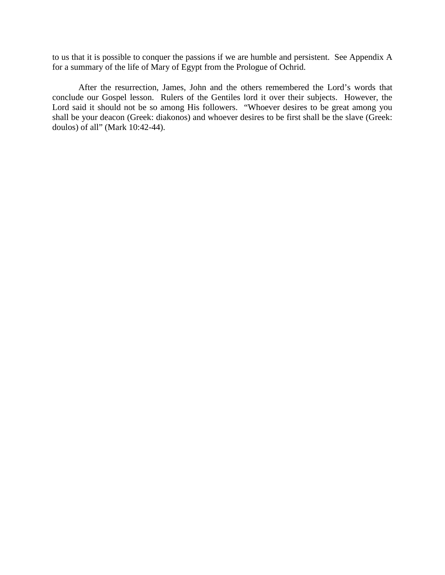to us that it is possible to conquer the passions if we are humble and persistent. See Appendix A for a summary of the life of Mary of Egypt from the Prologue of Ochrid.

After the resurrection, James, John and the others remembered the Lord's words that conclude our Gospel lesson. Rulers of the Gentiles lord it over their subjects. However, the Lord said it should not be so among His followers. "Whoever desires to be great among you shall be your deacon (Greek: diakonos) and whoever desires to be first shall be the slave (Greek: doulos) of all" (Mark 10:42-44).